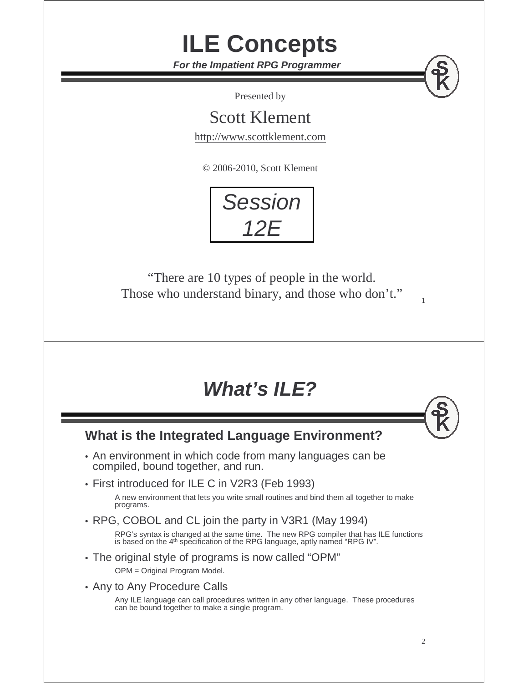**For the Impatient RPG Programmer**

**ILE Concepts**

Presented by

Scott Klement

http://www.scottklement.com

© 2006-2010, Scott Klement



"There are 10 types of people in the world. Those who understand binary, and those who don't."

#### **What's ILE?**

#### **What is the Integrated Language Environment?**

- An environment in which code from many languages can be compiled, bound together, and run.
- First introduced for ILE C in V2R3 (Feb 1993)

A new environment that lets you write small routines and bind them all together to make programs.

• RPG, COBOL and CL join the party in V3R1 (May 1994)

RPG's syntax is changed at the same time. The new RPG compiler that has ILE functions<br>is based on the 4th specification of the RPG language, aptly named "RPG IV".

• The original style of programs is now called "OPM"

OPM = Original Program Model.

• Any to Any Procedure Calls

Any ILE language can call procedures written in any other language. These procedures can be bound together to make a single program.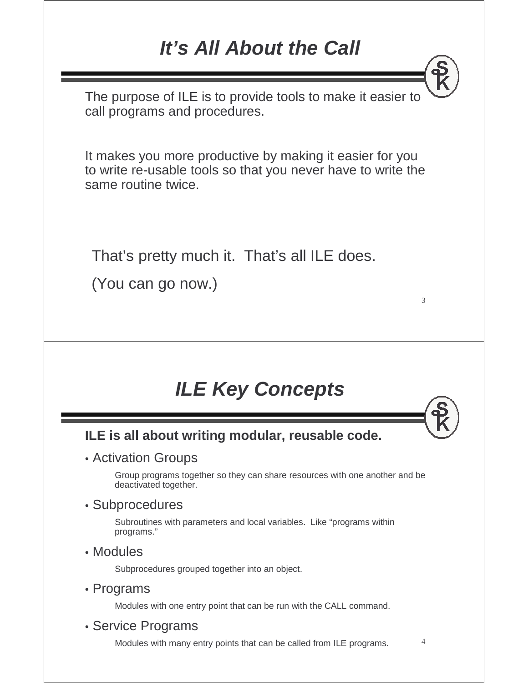#### **It's All About the Call**

The purpose of ILE is to provide tools to make it easier to call programs and procedures.

It makes you more productive by making it easier for you to write re-usable tools so that you never have to write the same routine twice.

That's pretty much it. That's all ILE does.

(You can go now.)

#### **ILE Key Concepts**

#### **ILE is all about writing modular, reusable code.**

#### • Activation Groups

Group programs together so they can share resources with one another and be deactivated together.

#### • Subprocedures

Subroutines with parameters and local variables. Like "programs within programs."

• Modules

Subprocedures grouped together into an object.

• Programs

Modules with one entry point that can be run with the CALL command.

• Service Programs

Modules with many entry points that can be called from ILE programs.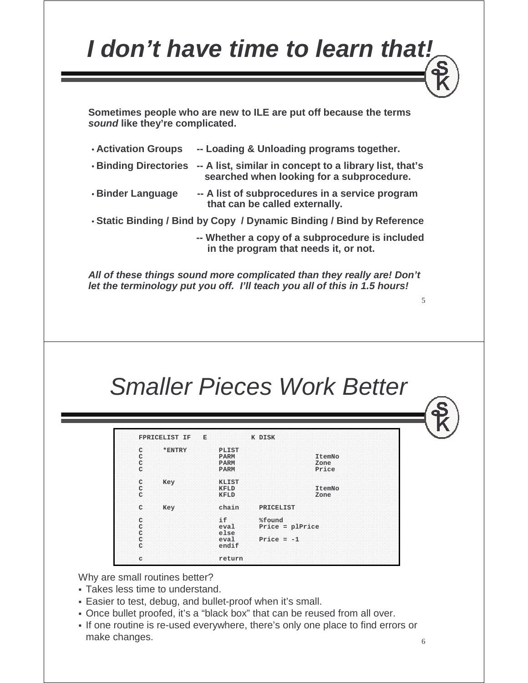### **I don't have time to learn that!**

**Sometimes people who are new to ILE are put off because the terms sound like they're complicated.** 

| <b>Activation Groups</b> | -- Loading & Unloading programs together.                                                                                  |
|--------------------------|----------------------------------------------------------------------------------------------------------------------------|
|                          | . Binding Directories -- A list, similar in concept to a library list, that's<br>searched when looking for a subprocedure. |
| • Binder Language        | -- A list of subprocedures in a service program<br>that can be called externally.                                          |

• **Static Binding / Bind by Copy / Dynamic Binding / Bind by Reference**

**-- Whether a copy of a subprocedure is included in the program that needs it, or not.**

**All of these things sound more complicated than they really are! Don't let the terminology put you off. I'll teach you all of this in 1.5 hours!**

#### Smaller Pieces Work Better

| FPRICELIST IF | E            | K DISK            |  |
|---------------|--------------|-------------------|--|
| *ENTRY        | PLIST        |                   |  |
|               | <b>PARM</b>  | ItemNo            |  |
|               | <b>PARM</b>  | Zone              |  |
|               | PARM         | Price             |  |
| Key           | <b>KLIST</b> |                   |  |
|               | <b>KFLD</b>  | ItemNo            |  |
|               | <b>KFLD</b>  | Zone              |  |
| Key           | chain        | PRICELIST         |  |
|               | if           | %found            |  |
|               | eval         | $Price = plPrice$ |  |
|               | else         |                   |  |
|               | eval         | Price $= -1$      |  |
|               | endif        |                   |  |

Why are small routines better?

- Takes less time to understand.
- Easier to test, debug, and bullet-proof when it's small.
- Once bullet proofed, it's a "black box" that can be reused from all over.
- If one routine is re-used everywhere, there's only one place to find errors or make changes.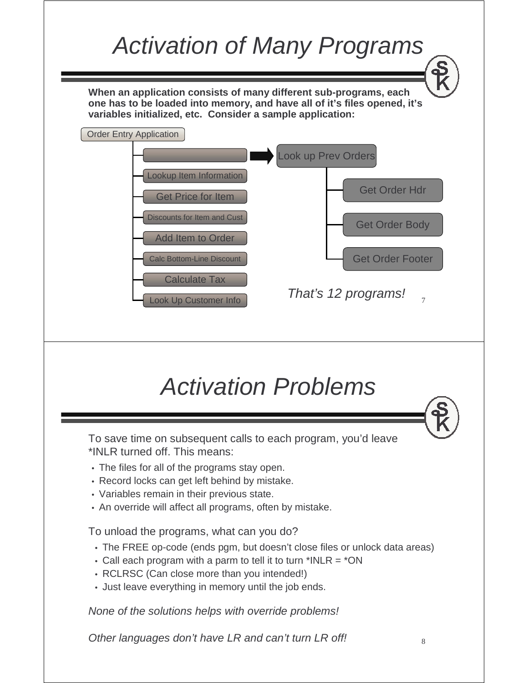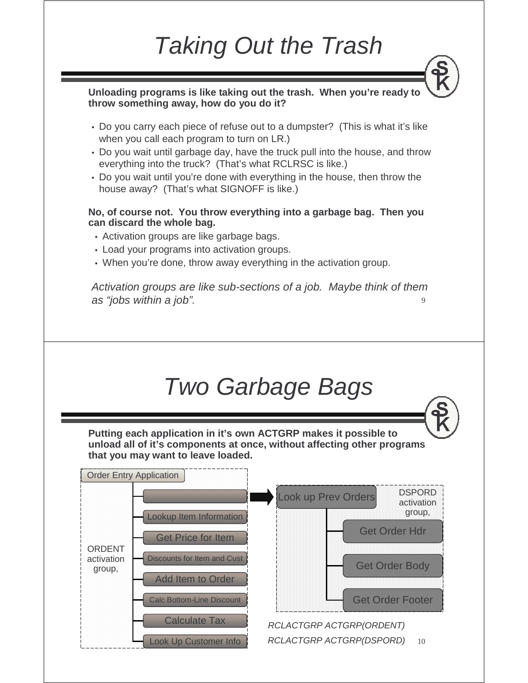### Taking Out the Trash

**Unloading programs is like taking out the trash. When you're ready to throw something away, how do you do it?**

- Do you carry each piece of refuse out to a dumpster? (This is what it's like when you call each program to turn on LR.)
- Do you wait until garbage day, have the truck pull into the house, and throw everything into the truck? (That's what RCLRSC is like.)
- Do you wait until you're done with everything in the house, then throw the house away? (That's what SIGNOFF is like.)

#### **No, of course not. You throw everything into a garbage bag. Then you can discard the whole bag.**

- Activation groups are like garbage bags.
- Load your programs into activation groups.
- When you're done, throw away everything in the activation group.

9 Activation groups are like sub-sections of a job. Maybe think of them as "jobs within a job".

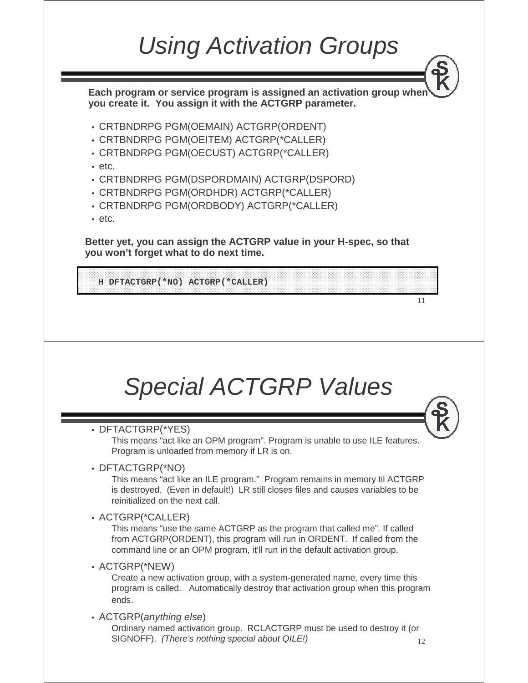### Using Activation Groups

**Each program or service program is assigned an activation group when you create it. You assign it with the ACTGRP parameter.**

- CRTBNDRPG PGM(OEMAIN) ACTGRP(ORDENT)
- CRTBNDRPG PGM(OEITEM) ACTGRP(\*CALLER)
- CRTBNDRPG PGM(OECUST) ACTGRP(\*CALLER)
- etc.
- CRTBNDRPG PGM(DSPORDMAIN) ACTGRP(DSPORD)
- CRTBNDRPG PGM(ORDHDR) ACTGRP(\*CALLER)
- CRTBNDRPG PGM(ORDBODY) ACTGRP(\*CALLER)
- etc.

**Better yet, you can assign the ACTGRP value in your H-spec, so that you won't forget what to do next time.**

**H DFTACTGRP(\*NO) ACTGRP(\*CALLER)**

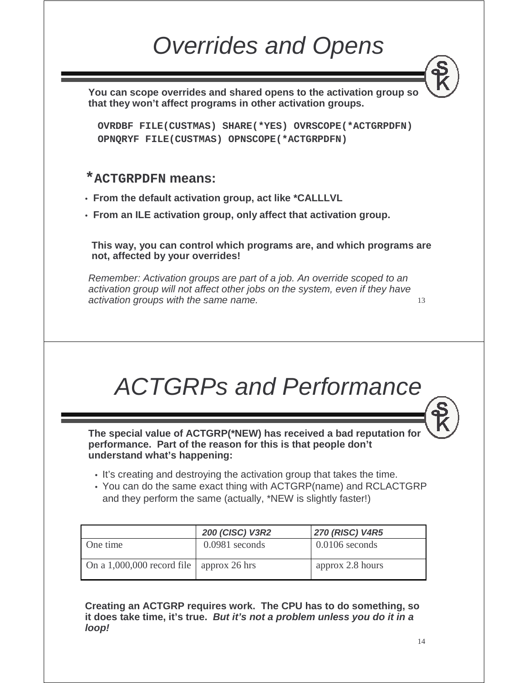### Overrides and Opens

**You can scope overrides and shared opens to the activation group so that they won't affect programs in other activation groups.**

**OVRDBF FILE(CUSTMAS) SHARE(\*YES) OVRSCOPE(\*ACTGRPDFN) OPNQRYF FILE(CUSTMAS) OPNSCOPE(\*ACTGRPDFN)**

#### **\*ACTGRPDFN means:**

- **From the default activation group, act like \*CALLLVL**
- **From an ILE activation group, only affect that activation group.**

**This way, you can control which programs are, and which programs are not, affected by your overrides!**

Remember: Activation groups are part of a job. An override scoped to an activation group will not affect other jobs on the system, even if they have activation groups with the same name.

### ACTGRPs and Performance

**The special value of ACTGRP(\*NEW) has received a bad reputation for performance. Part of the reason for this is that people don't understand what's happening:**

- It's creating and destroying the activation group that takes the time.
- You can do the same exact thing with ACTGRP(name) and RCLACTGRP and they perform the same (actually, \*NEW is slightly faster!)

|                                            | <b>200 (CISC) V3R2</b> | <b>270 (RISC) V4R5</b> |
|--------------------------------------------|------------------------|------------------------|
| One time                                   | $0.0981$ seconds       | $0.0106$ seconds       |
| On a 1,000,000 record file   approx 26 hrs |                        | approx 2.8 hours       |

**Creating an ACTGRP requires work. The CPU has to do something, so it does take time, it's true. But it's not a problem unless you do it in a loop!**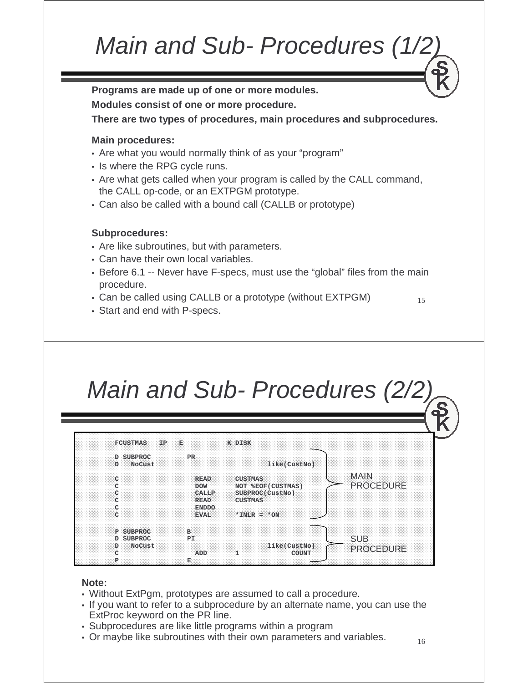### Main and Sub- Procedures (1/2)

**Programs are made up of one or more modules.**

**Modules consist of one or more procedure.**

**There are two types of procedures, main procedures and subprocedures.**

#### **Main procedures:**

- Are what you would normally think of as your "program"
- Is where the RPG cycle runs.
- Are what gets called when your program is called by the CALL command, the CALL op-code, or an EXTPGM prototype.
- Can also be called with a bound call (CALLB or prototype)

#### **Subprocedures:**

- Are like subroutines, but with parameters.
- Can have their own local variables.
- Before 6.1 -- Never have F-specs, must use the "global" files from the main procedure.
- Can be called using CALLB or a prototype (without EXTPGM)
- Start and end with P-specs.

# Main and Sub- Procedures (2/2)

| <b>FCUSTMAS</b><br>IP.          | Е            | K DISK             |                  |
|---------------------------------|--------------|--------------------|------------------|
| <b>D SUBPROC</b><br>NoCust<br>D | PR           | like(CustNo)       |                  |
| C                               | <b>READ</b>  | <b>CUSTMAS</b>     | <b>MAIN</b>      |
| C                               | <b>DOW</b>   | NOT %EOF (CUSTMAS) | <b>PROCEDURE</b> |
| C                               | <b>CALLP</b> | SUBPROC(CustNo)    |                  |
| C                               | <b>READ</b>  | <b>CUSTMAS</b>     |                  |
| C                               | <b>ENDDO</b> |                    |                  |
| $\mathsf{C}$                    | <b>EVAL</b>  | $*INK = *ON$       |                  |
| P SUBPROC                       | B            |                    |                  |
| <b>D SUBPROC</b>                | PI           |                    | <b>SUB</b>       |
| NoCust<br>D                     |              | like(CustNo)       | <b>PROCEDURE</b> |
| C                               | ADD          | COUNT              |                  |
| P                               | Ε            |                    |                  |

#### **Note:**

- Without ExtPgm, prototypes are assumed to call a procedure.
- If you want to refer to a subprocedure by an alternate name, you can use the Externe knowned on the PP line ExtProc keyword on the PR line.
- Subprocedures are like little programs within a program<br>• Or maybe like subroutines with their own parameters are
- Or maybe like subroutines with their own parameters and variables.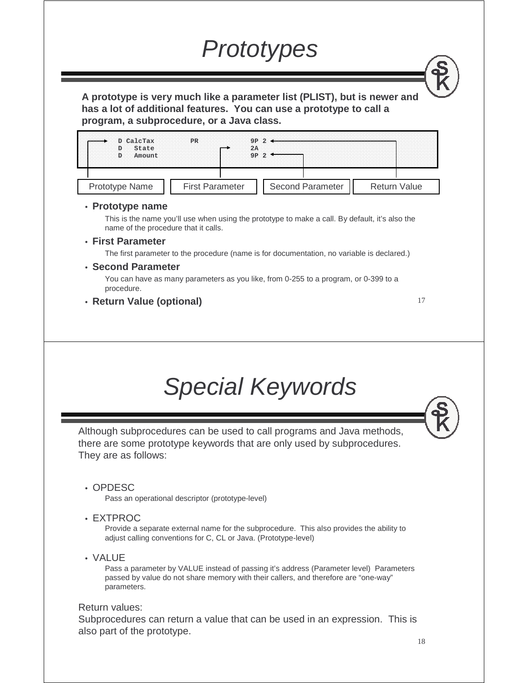### **Prototypes**

**A prototype is very much like a parameter list (PLIST), but is newer and has a lot of additional features. You can use a prototype to call a program, a subprocedure, or a Java class.**



#### • **Prototype name**

This is the name you'll use when using the prototype to make a call. By default, it's also the name of the procedure that it calls.

• **First Parameter**

The first parameter to the procedure (name is for documentation, no variable is declared.)

#### • **Second Parameter**

You can have as many parameters as you like, from 0-255 to a program, or 0-399 to a procedure.

• **Return Value (optional)**

17

### Special Keywords

Although subprocedures can be used to call programs and Java methods, there are some prototype keywords that are only used by subprocedures. They are as follows:

• OPDESC

Pass an operational descriptor (prototype-level)

• EXTPROC

Provide a separate external name for the subprocedure. This also provides the ability to adjust calling conventions for C, CL or Java. (Prototype-level)

• VALUE

Pass a parameter by VALUE instead of passing it's address (Parameter level) Parameters passed by value do not share memory with their callers, and therefore are "one-way" parameters.

#### Return values:

Subprocedures can return a value that can be used in an expression. This is also part of the prototype.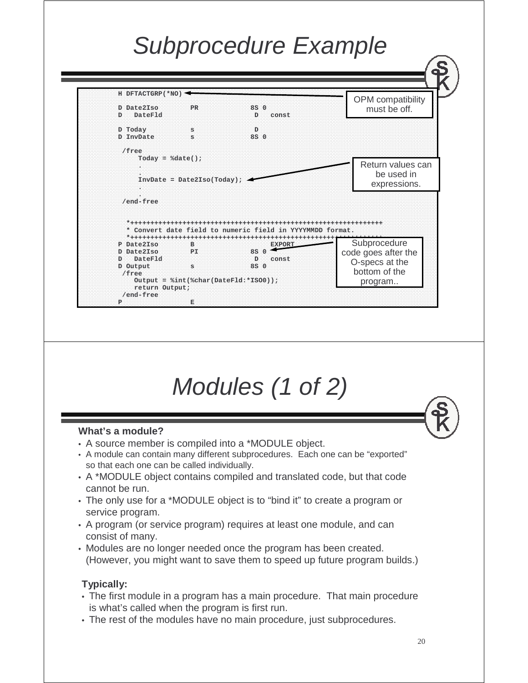### Subprocedure Example



## Modules (1 of 2)

#### **What's a module?**

- A source member is compiled into a \*MODULE object.
- A module can contain many different subprocedures. Each one can be "exported" so that each one can be called individually.
- A \*MODULE object contains compiled and translated code, but that code cannot be run.
- The only use for a \*MODULE object is to "bind it" to create a program or service program.
- A program (or service program) requires at least one module, and can consist of many.
- Modules are no longer needed once the program has been created. (However, you might want to save them to speed up future program builds.)

#### **Typically:**

- The first module in a program has a main procedure. That main procedure is what's called when the program is first run.
- The rest of the modules have no main procedure, just subprocedures.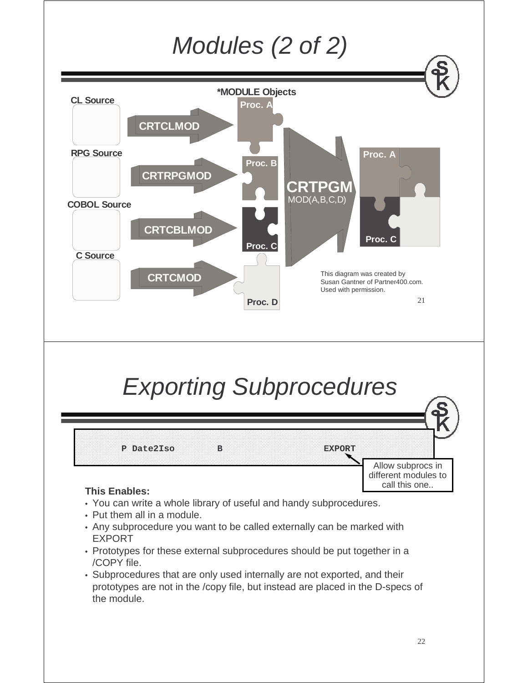

- Prototypes for these external subprocedures should be put together in a  $\sqrt{C}$ CDY file /COPY file.
- Subprocedures that are only used internally are not exported, and their<br>netatines are not in the *leapy file*, but instead are placed in the D appe prototypes are not in the /copy file, but instead are placed in the D-specs of the module.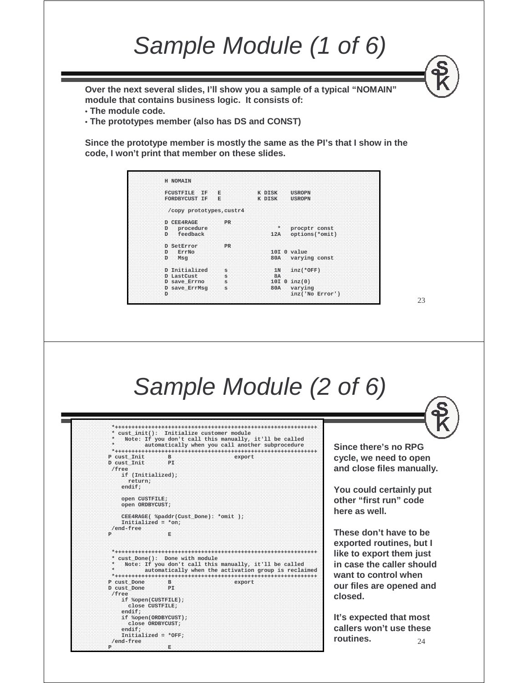### Sample Module (1 of 6)

**Over the next several slides, I'll show you a sample of a typical "NOMAIN" module that contains business logic. It consists of:**

• **The module code.**

**P E**

• **The prototypes member (also has DS and CONST)**

**Since the prototype member is mostly the same as the PI's that I show in the code, I won't print that member on these slides.**

| H NOMAIN                 |           |           |                 |
|--------------------------|-----------|-----------|-----------------|
| <b>FCUSTRILE</b><br>TF.  | Е         | K DISK    | <b>USROPN</b>   |
| FORDBYCUST IF            | E         | K DISK    | <b>USROPN</b>   |
| /copy prototypes, custr4 |           |           |                 |
| D CEE4RAGE               | PR        |           |                 |
| procedure<br>D.          |           | $\star$   | procptr const   |
| feedback<br>D.           |           | 12A       | options(*omit)  |
| <b>D</b> SetError        | <b>PR</b> |           |                 |
| ErrNo<br>D               |           |           | $10I$ 0 $value$ |
| D<br>Msq                 |           | 80A       | varying const   |
| D Initialized            | S         | 1N        | $inz(*OFF)$     |
| <b>D</b> LastCust        | s         | <b>8A</b> |                 |
| D save Errno             | S         |           | $10I 0$ inz(0)  |
| D save ErrMsq            | s         | 80A       | varying         |
| D                        |           |           | inz('No Error') |

23

24 Sample Module (2 of 6) **\*+++++++++++++++++++++++++++++++++++++++++++++++++++++++++++++\* cust\_init(): Initialize customer module \* Note: If you don't call this manually, it'll be called \* automatically when you call another subprocedure \*+++++++++++++++++++++++++++++++++++++++++++++++++++++++++++++ P cust\_Init B export D cust\_Init PI /free if (Initialized); return; endif; open CUSTFILE; open ORDBYCUST; CEE4RAGE( %paddr(Cust\_Done): \*omit ); Initialized = \*on; /end-free P E \*+++++++++++++++++++++++++++++++++++++++++++++++++++++++++++++\* cust\_Done(): Done with module \* Note: If you don't call this manually, it'll be called \* automatically when the activation group is reclaimed \*+++++++++++++++++++++++++++++++++++++++++++++++++++++++++++++ P cust\_Done B export D cust\_Done PI /free if %open(CUSTFILE); close CUSTFILE; endif; if %open(ORDBYCUST); close ORDBYCUST; endif; Initialized = \*OFF; /end-free Since there's no RPG cycle, we need to open and close files manually. You could certainly put other "first run" code here as well. These don't have to be exported routines, but I like to export them just in case the caller should want to control when our files are opened and closed. It's expected that most callers won't use these routines.**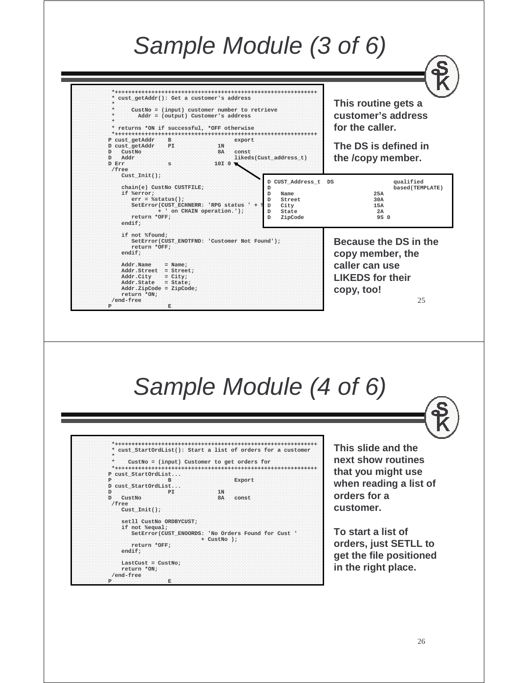### Sample Module (3 of 6)

| * cust getAddr(): Get a customer's address<br>CustNo = (input) customer number to retrieve<br>$Addr = (output)$ Customer's address<br>* returns *ON if successful, *OFF otherwise<br>P cust_getAddr<br>$\mathbf{B}$<br>export<br>D cust_getAddr<br>PI<br>1 <sub>N</sub><br>CustNo<br><b>8A</b><br>'n<br>const<br>D<br>Addr<br>likeds(Cust_address_t)<br>D Err<br>s<br>10I 0 V<br>/free<br>$Cust$ $Init()$ ; | This routine gets a<br>customer's address<br>for the caller.<br>The DS is defined in<br>the /copy member.             |
|-------------------------------------------------------------------------------------------------------------------------------------------------------------------------------------------------------------------------------------------------------------------------------------------------------------------------------------------------------------------------------------------------------------|-----------------------------------------------------------------------------------------------------------------------|
| D CUST_Address_t DS<br>chain(e) CustNo CUSTFILE;<br>D<br>if %error;<br>D<br>Name<br>$err = %status()$ ;<br>Street<br>D<br>SetError(CUST_ECHNERR: 'RPG status ' +<br>D<br>City<br>+ ' on CHAIN operation.');<br>D<br>State<br>return *OFF;<br>D<br>ZipCode<br>endif;                                                                                                                                         | qualified<br>based (TEMPLATE)<br>25A<br>30A<br>15A<br>2A<br>9S 0                                                      |
| if not %found;<br>SetError(CUST_ENOTFND: 'Customer Not Found');<br>return *OFF;<br>endif:<br>Addr.Name<br>$=$ Name:<br>Addr.Street = Street;<br>$Addr.City = City;$<br>$Addr.State = State;$<br>$Addr \cdot ZipCode = ZipCode;$                                                                                                                                                                             | Because the DS in the<br>copy member, the<br>caller can use<br><b>LIKEDS for their</b><br>copy, too!                  |
| return *ON;<br>/end-free<br>P<br>Е                                                                                                                                                                                                                                                                                                                                                                          | 25                                                                                                                    |
| Sample Module (4 of 6)                                                                                                                                                                                                                                                                                                                                                                                      |                                                                                                                       |
| * cust_StartOrdList(): Start a list of orders for a customer<br>$\star$<br>$CustNo = (input)$ Customer to get orders for<br>P cust_StartOrdList<br>$\mathbf{P}$<br>- B:<br>Export<br>D cust_StartOrdList<br>D<br>PI<br>1N<br>D<br>CustNo<br>8A<br>const<br>/free<br>$Cust_Init()$ ;                                                                                                                         | This slide and the<br>next show routines<br>that you might use<br>when reading a list of<br>orders for a<br>customer. |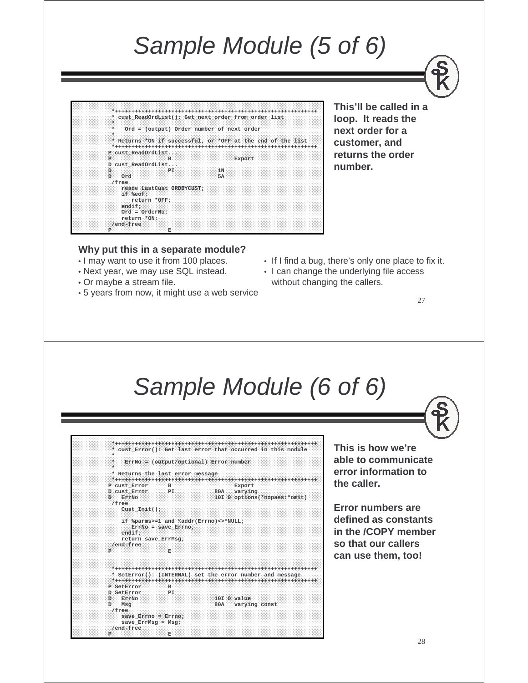### Sample Module (5 of 6)



**This'll be called in a loop. It reads the next order for a customer, and returns the order number.**

#### **Why put this in a separate module?**

- I may want to use it from 100 places.
- Next year, we may use SQL instead.
- Or maybe a stream file.
- 5 years from now, it might use a web service
- If I find a bug, there's only one place to fix it.
- I can change the underlying file access without changing the callers.

27

#### Sample Module (6 of 6)

|                                  |                       | * cust Error(): Get last error that occurred in this module |
|----------------------------------|-----------------------|-------------------------------------------------------------|
| ÷                                |                       |                                                             |
| $\star$                          |                       | ErrNo = (output/optional) Error number                      |
| ÷                                |                       |                                                             |
| * Returns the last error message |                       |                                                             |
|                                  |                       |                                                             |
| P cust Error                     | B.                    | Export                                                      |
| D cust Error                     | PI                    | 80A<br>varying                                              |
| ErrNo<br>D.                      |                       | 10I 0 options(*nopass:*omit)                                |
| /free                            |                       |                                                             |
| $Cust$ $Init()$ ;                |                       |                                                             |
|                                  |                       |                                                             |
|                                  |                       | if %parms>=1 and %addr(Errno)<>*NULL;                       |
|                                  | $ErrNo = save Error;$ |                                                             |
| endif:                           |                       |                                                             |
| return save ErrMsq;<br>/end-free |                       |                                                             |
| Þ                                | Е                     |                                                             |
|                                  |                       |                                                             |
|                                  |                       |                                                             |
|                                  |                       |                                                             |
|                                  |                       | * SetError(): (INTERNAL) set the error number and message   |
|                                  |                       |                                                             |
| P SetError                       | в                     |                                                             |
| D SetError                       | PT.                   |                                                             |
| ErrNo<br>D.                      |                       | 10I 0 value                                                 |
| Msq<br>D.                        |                       | 80A varying const                                           |
| /free                            |                       |                                                             |
| save Errno = Errno;              |                       |                                                             |
| $save$ ErrMsq = Msq;             |                       |                                                             |
| /end-free                        |                       |                                                             |
| P                                | Е                     |                                                             |

**This is how we're able to communicate error information to the caller.**

**Error numbers are defined as constants in the /COPY member so that our callers can use them, too!**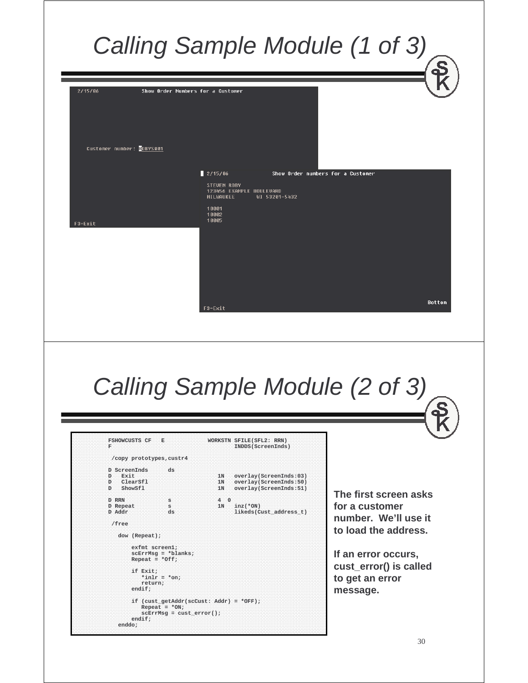#### Calling Sample Module (1 of 3) 2/15/06 Show Order Numbers for a Custome Customer number: ROBYS001  $2/15/86$ Show Order numbers for a Customer WI 53201-5432 10001<br>10002 10005 F3=Exit Bottom F3=Exit Calling Sample Module (2 of 3) FSHOWCUSTS CF E WORKSTN SFILE(SFL2: RRN) **F INDDS(ScreenInds) /copy prototypes,custr4 D ScreenInds ds** 1N overlay(ScreenInds:03)<br>1N overlav(ScreenInds:50) **D ClearSfl 1N overlay(ScreenInds:50) D ShowSfl 1N overlay(ScreenInds:51) The first screen asks D RRN s 4 0** D Repeat s 1N inz(\*ON)<br>D Addr ds 1ikeds(C) **for a customer**   $\text{likes}(\text{Cust}\_\text{address}\_\text{t})$ **number. We'll use it /free to load the address. dow (Repeat);**

**exfmt screen1; scErrMsg <sup>=</sup>\*blanks; Repeat = \*Off;**

**\*inlr <sup>=</sup>\*on; return; endif;**

**Repeat = \*ON;**

**if (cust\_getAddr(scCust: Addr) = \*OFF);**

**scErrMsg = cust\_error();**

**if Exit;**

**endif; enddo;**

**If an error occurs, cust\_error() is called to get an error message.**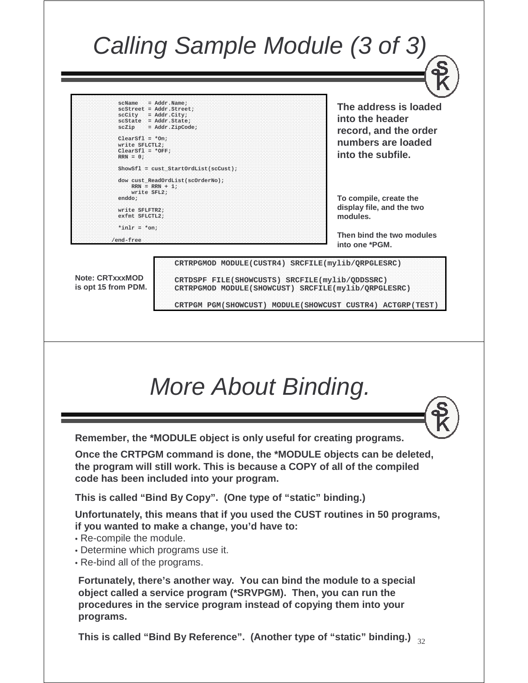### Calling Sample Module (3 of 3)

**scName = Addr.Name; scStreet = Addr.Street; scCity = Addr.City; scState = Addr.State; scZip = Addr.ZipCode; ClearSfl <sup>=</sup>\*On; write SFLCTL2; ClearSfl <sup>=</sup>\*OFF;**

**RRN = 0; ShowSfl = cust\_StartOrdList(scCust);**

**dow cust\_ReadOrdList(scOrderNo);**  $RRN = RRN + 1;$ **write SFL2; enddo;**

**write SFLFTR2; exfmt SFLCTL2;**

**\*inlr <sup>=</sup>\*on;**

**/end-free**

**The address is loaded into the header record, and the order numbers are loaded into the subfile.**

**To compile, create the display file, and the two modules.**

**Then bind the two modules into one \*PGM.**

**Note: CRTxxxMOD is opt 15 from PDM.** **CRTDSPF FILE(SHOWCUSTS) SRCFILE(mylib/QDDSSRC) CRTRPGMOD MODULE(SHOWCUST) SRCFILE(mylib/QRPGLESRC)**

**CRTRPGMOD MODULE(CUSTR4) SRCFILE(mylib/QRPGLESRC)**

31 **CRTPGM PGM(SHOWCUST) MODULE(SHOWCUST CUSTR4) ACTGRP(TEST)**

### More About Binding.

**Remember, the \*MODULE object is only useful for creating programs.**

**Once the CRTPGM command is done, the \*MODULE objects can be deleted, the program will still work. This is because a COPY of all of the compiled code has been included into your program.**

**This is called "Bind By Copy". (One type of "static" binding.)**

**Unfortunately, this means that if you used the CUST routines in 50 programs, if you wanted to make a change, you'd have to:**

- Re-compile the module.
- Determine which programs use it.
- Re-bind all of the programs.

**Fortunately, there's another way. You can bind the module to a special object called a service program (\*SRVPGM). Then, you can run the procedures in the service program instead of copying them into your programs.**

32 **This is called "Bind By Reference". (Another type of "static" binding.)**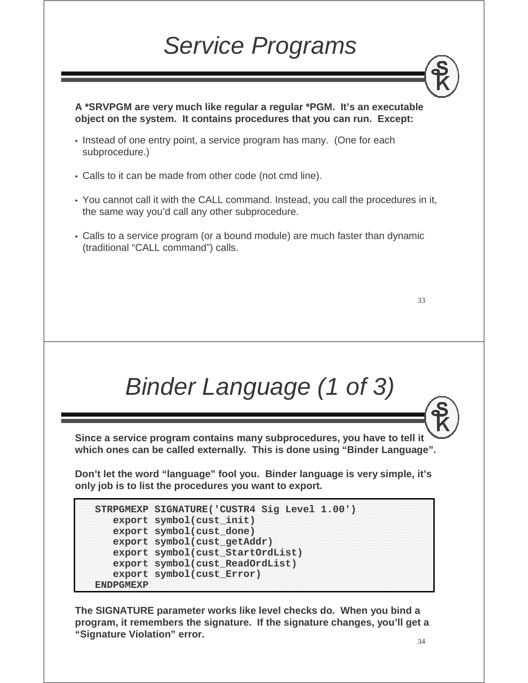### Service Programs

**A \*SRVPGM are very much like regular a regular \*PGM. It's an executable object on the system. It contains procedures that you can run. Except:**

- Instead of one entry point, a service program has many. (One for each subprocedure.)
- Calls to it can be made from other code (not cmd line).
- You cannot call it with the CALL command. Instead, you call the procedures in it, the same way you'd call any other subprocedure.
- Calls to a service program (or a bound module) are much faster than dynamic (traditional "CALL command") calls.

33

### Binder Language (1 of 3)

**Since a service program contains many subprocedures, you have to tell it which ones can be called externally. This is done using "Binder Language".**

**Don't let the word "language" fool you. Binder language is very simple, it's only job is to list the procedures you want to export.**

```
STRPGMEXP SIGNATURE('CUSTR4 Sig Level 1.00')
  export symbol(cust_init)
  export symbol(cust_done)
  export symbol(cust_getAddr)
  export symbol(cust_StartOrdList)
  export symbol(cust_ReadOrdList)
  export symbol(cust_Error)
ENDPGMEXP
```
**The SIGNATURE parameter works like level checks do. When you bind a program, it remembers the signature. If the signature changes, you'll get a "Signature Violation" error.**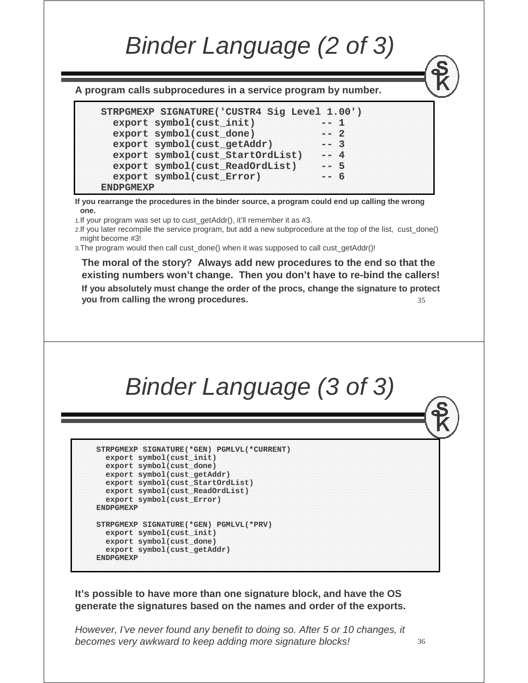### Binder Language (2 of 3)

**A program calls subprocedures in a service program by number.** 

```
STRPGMEXP SIGNATURE('CUSTR4 Sig Level 1.00')
  export symbol(cust_init) -- 1<br>export symbol(cust done) -- 2
  export symbol(cust_done) -- 2
  export symbol(cust_getAddr) -- 3
  export symbol(cust_StartOrdList) -- 4
  export symbol(cust_ReadOrdList) -- 5
  export symbol(cust_Error) -- 6
ENDPGMEXP
```
**If you rearrange the procedures in the binder source, a program could end up calling the wrong one.**

1. If your program was set up to cust getAddr(), it'll remember it as #3.

2.If you later recompile the service program, but add a new subprocedure at the top of the list, cust\_done() might become #3!

3. The program would then call cust done() when it was supposed to call cust getAddr()!

35 **The moral of the story? Always add new procedures to the end so that the existing numbers won't change. Then you don't have to re-bind the callers! If you absolutely must change the order of the procs, change the signature to protect you from calling the wrong procedures.**



```
STRPGMEXP SIGNATURE(*GEN) PGMLVL(*CURRENT)
 export symbol(cust_init) 
 export symbol(cust_done) 
 export symbol(cust_getAddr) 
 export symbol(cust_StartOrdList) 
  export symbol(cust_ReadOrdList) 
 export symbol(cust_Error)
ENDPGMEXP
STRPGMEXP SIGNATURE(*GEN) PGMLVL(*PRV)
 export symbol(cust_init) 
 export symbol(cust_done) 
 export symbol(cust_getAddr) 
ENDPGMEXP
```
**It's possible to have more than one signature block, and have the OS generate the signatures based on the names and order of the exports.** 

However, I've never found any benefit to doing so. After 5 or 10 changes, it becomes very awkward to keep adding more signature blocks!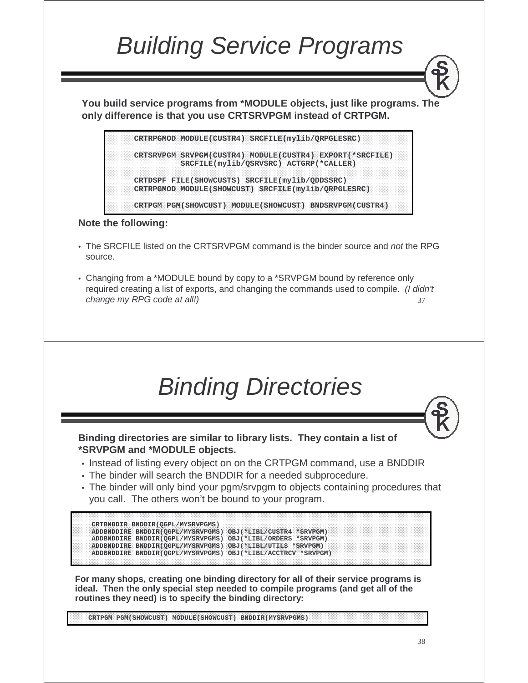### Building Service Programs

**You build service programs from \*MODULE objects, just like programs. The only difference is that you use CRTSRVPGM instead of CRTPGM.**

> **CRTRPGMOD MODULE(CUSTR4) SRCFILE(mylib/QRPGLESRC) CRTSRVPGM SRVPGM(CUSTR4) MODULE(CUSTR4) EXPORT(\*SRCFILE) SRCFILE(mylib/QSRVSRC) ACTGRP(\*CALLER) CRTDSPF FILE(SHOWCUSTS) SRCFILE(mylib/QDDSSRC) CRTRPGMOD MODULE(SHOWCUST) SRCFILE(mylib/QRPGLESRC) CRTPGM PGM(SHOWCUST) MODULE(SHOWCUST) BNDSRVPGM(CUSTR4)**

#### **Note the following:**

- The SRCFILE listed on the CRTSRVPGM command is the binder source and *not* the RPG<br>course source.
- 37 • Changing from a \*MODULE bound by copy to a \*SRVPGM bound by reference only required creating a list of exports, and changing the commands used to compile. *(I didn't* change my RPG code at all!)



**Binding directories are similar to library lists. They contain a list of \*SRVPGM and \*MODULE objects.**

- Instead of listing every object on on the CRTPGM command, use a BNDDIR<br>The binder will seereb the PNDDIR for a needed exhances dure.
- The binder will search the BNDDIR for a needed subprocedure.
- The binder will only bind your pgm/srvpgm to objects containing procedures that you call. The others won't be bound to your program.

```
CRTBNDDIR BNDDIR(QGPL/MYSRVPGMS)
ADDBNDDIRE BNDDIR(QGPL/MYSRVPGMS) OBJ(*LIBL/CUSTR4 *SRVPGM)
ADDBNDDIRE BNDDIR(QGPL/MYSRVPGMS) OBJ(*LIBL/ORDERS *SRVPGM)
ADDBNDDIRE BNDDIR(QGPL/MYSRVPGMS) OBJ(*LIBL/UTILS *SRVPGM)
ADDBNDDIRE BNDDIR(QGPL/MYSRVPGMS) OBJ(*LIBL/ACCTRCV *SRVPGM)
```
**For many shops, creating one binding directory for all of their service programs is ideal. Then the only special step needed to compile programs (and get all of the routines they need) is to specify the binding directory:**

**CRTPGM PGM(SHOWCUST) MODULE(SHOWCUST) BNDDIR(MYSRVPGMS)**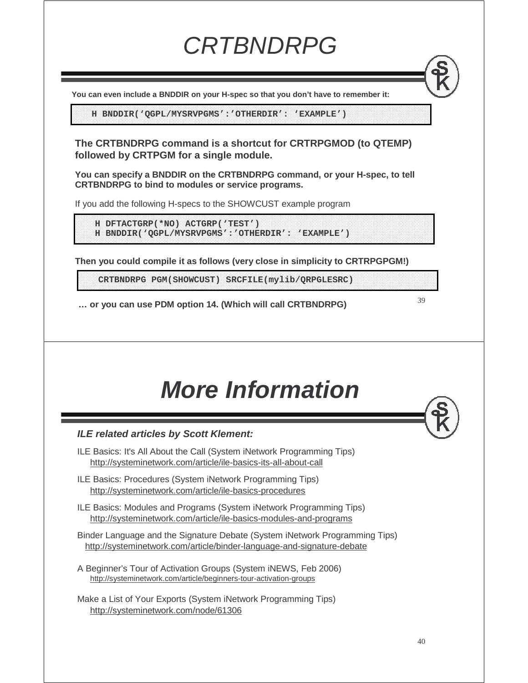**You can even include a BNDDIR on your H-spec so that you don't have to remember it:**

**H BNDDIR('QGPL/MYSRVPGMS':'OTHERDIR': 'EXAMPLE')**

**The CRTBNDRPG command is a shortcut for CRTRPGMOD (to QTEMP) followed by CRTPGM for a single module.** 

**CRTBNDRPG** 

**You can specify a BNDDIR on the CRTBNDRPG command, or your H-spec, to tell CRTBNDRPG to bind to modules or service programs.**

If you add the following H-specs to the SHOWCUST example program

**H DFTACTGRP(\*NO) ACTGRP('TEST') H BNDDIR('QGPL/MYSRVPGMS':'OTHERDIR': 'EXAMPLE')**

**Then you could compile it as follows (very close in simplicity to CRTRPGPGM!)**

**CRTBNDRPG PGM(SHOWCUST) SRCFILE(mylib/QRPGLESRC)**

**… or you can use PDM option 14. (Which will call CRTBNDRPG)**

**More Information**

#### **ILE related articles by Scott Klement:**

- ILE Basics: It's All About the Call (System iNetwork Programming Tips) http://systeminetwork.com/article/ile-basics-its-all-about-call
- ILE Basics: Procedures (System iNetwork Programming Tips) http://systeminetwork.com/article/ile-basics-procedures
- ILE Basics: Modules and Programs (System iNetwork Programming Tips) http://systeminetwork.com/article/ile-basics-modules-and-programs
- Binder Language and the Signature Debate (System iNetwork Programming Tips) http://systeminetwork.com/article/binder-language-and-signature-debate
- A Beginner's Tour of Activation Groups (System iNEWS, Feb 2006) http://systeminetwork.com/article/beginners-tour-activation-groups
- Make a List of Your Exports (System iNetwork Programming Tips) http://systeminetwork.com/node/61306